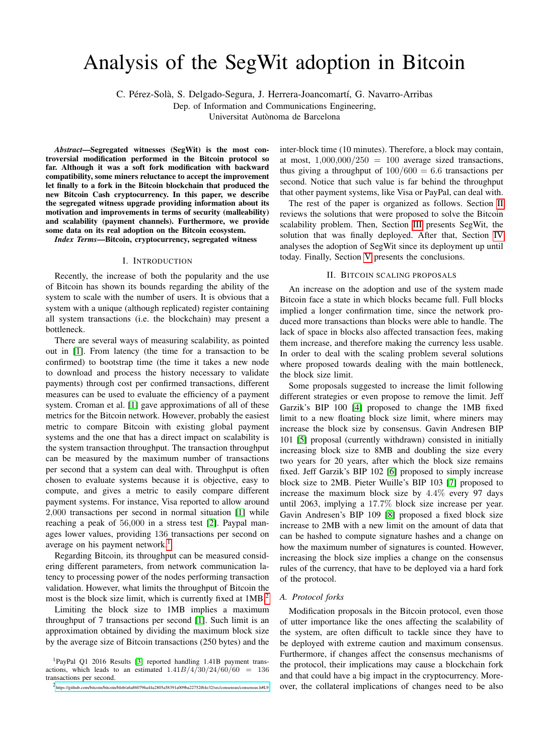# Analysis of the SegWit adoption in Bitcoin

C. Pérez-Solà, S. Delgado-Segura, J. Herrera-Joancomartí, G. Navarro-Arribas

Dep. of Information and Communications Engineering,

Universitat Autonoma de Barcelona `

*Abstract*—Segregated witnesses (SegWit) is the most controversial modification performed in the Bitcoin protocol so far. Although it was a soft fork modification with backward compatibility, some miners reluctance to accept the improvement let finally to a fork in the Bitcoin blockchain that produced the new Bitcoin Cash cryptocurrency. In this paper, we describe the segregated witness upgrade providing information about its motivation and improvements in terms of security (malleability) and scalability (payment channels). Furthermore, we provide some data on its real adoption on the Bitcoin ecosystem.

*Index Terms*—Bitcoin, cryptocurrency, segregated witness

#### I. INTRODUCTION

Recently, the increase of both the popularity and the use of Bitcoin has shown its bounds regarding the ability of the system to scale with the number of users. It is obvious that a system with a unique (although replicated) register containing all system transactions (i.e. the blockchain) may present a bottleneck.

There are several ways of measuring scalability, as pointed out in [\[1\]](#page-3-0). From latency (the time for a transaction to be confirmed) to bootstrap time (the time it takes a new node to download and process the history necessary to validate payments) through cost per confirmed transactions, different measures can be used to evaluate the efficiency of a payment system. Croman et al. [\[1\]](#page-3-0) gave approximations of all of these metrics for the Bitcoin network. However, probably the easiest metric to compare Bitcoin with existing global payment systems and the one that has a direct impact on scalability is the system transaction throughput. The transaction throughput can be measured by the maximum number of transactions per second that a system can deal with. Throughput is often chosen to evaluate systems because it is objective, easy to compute, and gives a metric to easily compare different payment systems. For instance, Visa reported to allow around 2,000 transactions per second in normal situation [\[1\]](#page-3-0) while reaching a peak of 56,000 in a stress test [\[2\]](#page-3-1). Paypal manages lower values, providing 136 transactions per second on average on his payment network.<sup>[1](#page-0-0)</sup>

Regarding Bitcoin, its throughput can be measured considering different parameters, from network communication latency to processing power of the nodes performing transaction validation. However, what limits the throughput of Bitcoin the most is the block size limit, which is currently fixed at  $1MB<sup>2</sup>$  $1MB<sup>2</sup>$  $1MB<sup>2</sup>$ .

Limiting the block size to 1MB implies a maximum throughput of 7 transactions per second [\[1\]](#page-3-0). Such limit is an approximation obtained by dividing the maximum block size by the average size of Bitcoin transactions (250 bytes) and the

<span id="page-0-0"></span><sup>1</sup>PayPal Q1 2016 Results [\[3\]](#page-3-2) reported handling 1.41B payment transactions, which leads to an estimated  $1.41B/4/30/24/60/60 = 136$ transactions per second.

<span id="page-0-1"></span>2 <https://github.com/bitcoin/bitcoin/blob/a6a860796a44a2805a58391a009ba22752f64e32/src/consensus/consensus.h#L9>

inter-block time (10 minutes). Therefore, a block may contain, at most,  $1,000,000/250 = 100$  average sized transactions, thus giving a throughput of  $100/600 = 6.6$  transactions per second. Notice that such value is far behind the throughput that other payment systems, like Visa or PayPal, can deal with.

The rest of the paper is organized as follows. Section [II](#page-0-2) reviews the solutions that were proposed to solve the Bitcoin scalability problem. Then, Section [III](#page-1-0) presents SegWit, the solution that was finally deployed. After that, Section [IV](#page-2-0) analyses the adoption of SegWit since its deployment up until today. Finally, Section [V](#page-3-3) presents the conclusions.

## II. BITCOIN SCALING PROPOSALS

<span id="page-0-2"></span>An increase on the adoption and use of the system made Bitcoin face a state in which blocks became full. Full blocks implied a longer confirmation time, since the network produced more transactions than blocks were able to handle. The lack of space in blocks also affected transaction fees, making them increase, and therefore making the currency less usable. In order to deal with the scaling problem several solutions where proposed towards dealing with the main bottleneck, the block size limit.

Some proposals suggested to increase the limit following different strategies or even propose to remove the limit. Jeff Garzik's BIP 100 [\[4\]](#page-3-4) proposed to change the 1MB fixed limit to a new floating block size limit, where miners may increase the block size by consensus. Gavin Andresen BIP 101 [\[5\]](#page-3-5) proposal (currently withdrawn) consisted in initially increasing block size to 8MB and doubling the size every two years for 20 years, after which the block size remains fixed. Jeff Garzik's BIP 102 [\[6\]](#page-3-6) proposed to simply increase block size to 2MB. Pieter Wuille's BIP 103 [\[7\]](#page-3-7) proposed to increase the maximum block size by 4.4% every 97 days until 2063, implying a 17.7% block size increase per year. Gavin Andresen's BIP 109 [\[8\]](#page-3-8) proposed a fixed block size increase to 2MB with a new limit on the amount of data that can be hashed to compute signature hashes and a change on how the maximum number of signatures is counted. However, increasing the block size implies a change on the consensus rules of the currency, that have to be deployed via a hard fork of the protocol.

## *A. Protocol forks*

Modification proposals in the Bitcoin protocol, even those of utter importance like the ones affecting the scalability of the system, are often difficult to tackle since they have to be deployed with extreme caution and maximum consensus. Furthermore, if changes affect the consensus mechanisms of the protocol, their implications may cause a blockchain fork and that could have a big impact in the cryptocurrency. Moreover, the collateral implications of changes need to be also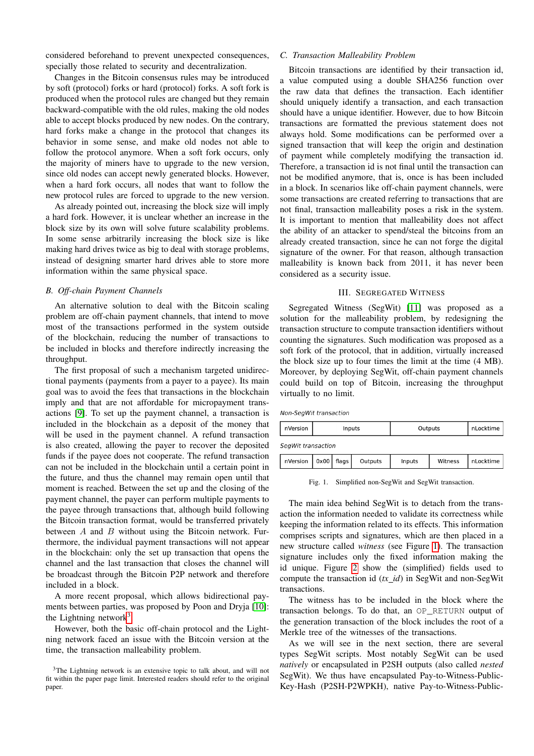considered beforehand to prevent unexpected consequences, specially those related to security and decentralization.

Changes in the Bitcoin consensus rules may be introduced by soft (protocol) forks or hard (protocol) forks. A soft fork is produced when the protocol rules are changed but they remain backward-compatible with the old rules, making the old nodes able to accept blocks produced by new nodes. On the contrary, hard forks make a change in the protocol that changes its behavior in some sense, and make old nodes not able to follow the protocol anymore. When a soft fork occurs, only the majority of miners have to upgrade to the new version, since old nodes can accept newly generated blocks. However, when a hard fork occurs, all nodes that want to follow the new protocol rules are forced to upgrade to the new version.

As already pointed out, increasing the block size will imply a hard fork. However, it is unclear whether an increase in the block size by its own will solve future scalability problems. In some sense arbitrarily increasing the block size is like making hard drives twice as big to deal with storage problems, instead of designing smarter hard drives able to store more information within the same physical space.

### *B. Off-chain Payment Channels*

An alternative solution to deal with the Bitcoin scaling problem are off-chain payment channels, that intend to move most of the transactions performed in the system outside of the blockchain, reducing the number of transactions to be included in blocks and therefore indirectly increasing the throughput.

The first proposal of such a mechanism targeted unidirectional payments (payments from a payer to a payee). Its main goal was to avoid the fees that transactions in the blockchain imply and that are not affordable for micropayment transactions [\[9\]](#page-3-9). To set up the payment channel, a transaction is included in the blockchain as a deposit of the money that will be used in the payment channel. A refund transaction is also created, allowing the payer to recover the deposited funds if the payee does not cooperate. The refund transaction can not be included in the blockchain until a certain point in the future, and thus the channel may remain open until that moment is reached. Between the set up and the closing of the payment channel, the payer can perform multiple payments to the payee through transactions that, although build following the Bitcoin transaction format, would be transferred privately between  $A$  and  $B$  without using the Bitcoin network. Furthermore, the individual payment transactions will not appear in the blockchain: only the set up transaction that opens the channel and the last transaction that closes the channel will be broadcast through the Bitcoin P2P network and therefore included in a block.

A more recent proposal, which allows bidirectional payments between parties, was proposed by Poon and Dryja [\[10\]](#page-3-10): the Lightning network<sup>[3](#page-1-1)</sup>.

However, both the basic off-chain protocol and the Lightning network faced an issue with the Bitcoin version at the time, the transaction malleability problem.

## *C. Transaction Malleability Problem*

Bitcoin transactions are identified by their transaction id, a value computed using a double SHA256 function over the raw data that defines the transaction. Each identifier should uniquely identify a transaction, and each transaction should have a unique identifier. However, due to how Bitcoin transactions are formatted the previous statement does not always hold. Some modifications can be performed over a signed transaction that will keep the origin and destination of payment while completely modifying the transaction id. Therefore, a transaction id is not final until the transaction can not be modified anymore, that is, once is has been included in a block. In scenarios like off-chain payment channels, were some transactions are created referring to transactions that are not final, transaction malleability poses a risk in the system. It is important to mention that malleability does not affect the ability of an attacker to spend/steal the bitcoins from an already created transaction, since he can not forge the digital signature of the owner. For that reason, although transaction malleability is known back from 2011, it has never been considered as a security issue.

## III. SEGREGATED WITNESS

<span id="page-1-0"></span>Segregated Witness (SegWit) [\[11\]](#page-3-11) was proposed as a solution for the malleability problem, by redesigning the transaction structure to compute transaction identifiers without counting the signatures. Such modification was proposed as a soft fork of the protocol, that in addition, virtually increased the block size up to four times the limit at the time (4 MB). Moreover, by deploying SegWit, off-chain payment channels could build on top of Bitcoin, increasing the throughput virtually to no limit.

Non-SegWit transaction

| nVersion           | Inputs |       |         | Outputs |         | nLocktime |
|--------------------|--------|-------|---------|---------|---------|-----------|
| SegWit transaction |        |       |         |         |         |           |
| nVersion           | 0x00   | flags | Outputs | Inputs  | Witness | nLocktime |

<span id="page-1-2"></span>Fig. 1. Simplified non-SegWit and SegWit transaction.

The main idea behind SegWit is to detach from the transaction the information needed to validate its correctness while keeping the information related to its effects. This information comprises scripts and signatures, which are then placed in a new structure called *witness* (see Figure [1\)](#page-1-2). The transaction signature includes only the fixed information making the id unique. Figure [2](#page-2-1) show the (simplified) fields used to compute the transaction id (*tx id*) in SegWit and non-SegWit transactions.

The witness has to be included in the block where the transaction belongs. To do that, an OP\_RETURN output of the generation transaction of the block includes the root of a Merkle tree of the witnesses of the transactions.

As we will see in the next section, there are several types SegWit scripts. Most notably SegWit can be used *natively* or encapsulated in P2SH outputs (also called *nested* SegWit). We thus have encapsulated Pay-to-Witness-Public-Key-Hash (P2SH-P2WPKH), native Pay-to-Witness-Public-

<span id="page-1-1"></span><sup>&</sup>lt;sup>3</sup>The Lightning network is an extensive topic to talk about, and will not fit within the paper page limit. Interested readers should refer to the original paper.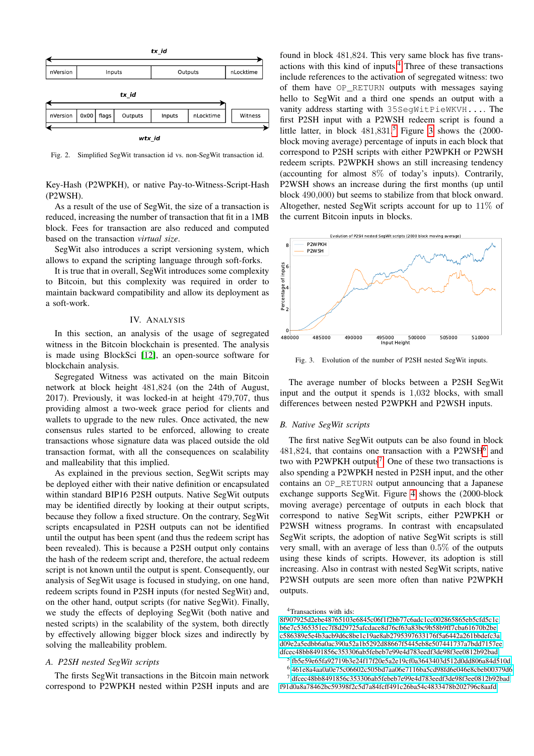

<span id="page-2-1"></span>Fig. 2. Simplified SegWit transaction id vs. non-SegWit transaction id.

Key-Hash (P2WPKH), or native Pay-to-Witness-Script-Hash (P2WSH).

As a result of the use of SegWit, the size of a transaction is reduced, increasing the number of transaction that fit in a 1MB block. Fees for transaction are also reduced and computed based on the transaction *virtual size*.

SegWit also introduces a script versioning system, which allows to expand the scripting language through soft-forks.

It is true that in overall, SegWit introduces some complexity to Bitcoin, but this complexity was required in order to maintain backward compatibility and allow its deployment as a soft-work.

## IV. ANALYSIS

<span id="page-2-0"></span>In this section, an analysis of the usage of segregated witness in the Bitcoin blockchain is presented. The analysis is made using BlockSci [\[12\]](#page-3-12), an open-source software for blockchain analysis.

Segregated Witness was activated on the main Bitcoin network at block height 481,824 (on the 24th of August, 2017). Previously, it was locked-in at height 479,707, thus providing almost a two-week grace period for clients and wallets to upgrade to the new rules. Once activated, the new consensus rules started to be enforced, allowing to create transactions whose signature data was placed outside the old transaction format, with all the consequences on scalability and malleability that this implied.

As explained in the previous section, SegWit scripts may be deployed either with their native definition or encapsulated within standard BIP16 P2SH outputs. Native SegWit outputs may be identified directly by looking at their output scripts, because they follow a fixed structure. On the contrary, SegWit scripts encapsulated in P2SH outputs can not be identified until the output has been spent (and thus the redeem script has been revealed). This is because a P2SH output only contains the hash of the redeem script and, therefore, the actual redeem script is not known until the output is spent. Consequently, our analysis of SegWit usage is focused in studying, on one hand, redeem scripts found in P2SH inputs (for nested SegWit) and, on the other hand, output scripts (for native SegWit). Finally, we study the effects of deploying SegWit (both native and nested scripts) in the scalability of the system, both directly by effectively allowing bigger block sizes and indirectly by solving the malleability problem.

### *A. P2SH nested SegWit scripts*

The firsts SegWit transactions in the Bitcoin main network correspond to P2WPKH nested within P2SH inputs and are

found in block 481,824. This very same block has five transactions with this kind of inputs.[4](#page-2-2) Three of these transactions include references to the activation of segregated witness: two of them have OP\_RETURN outputs with messages saying hello to SegWit and a third one spends an output with a vanity address starting with 35SegWitPieWKVH.... The first P2SH input with a P2WSH redeem script is found a little latter, in block  $481,831$ <sup>[5](#page-2-3)</sup> Figure [3](#page-2-4) shows the  $(2000$ block moving average) percentage of inputs in each block that correspond to P2SH scripts with either P2WPKH or P2WSH redeem scripts. P2WPKH shows an still increasing tendency (accounting for almost 8% of today's inputs). Contrarily, P2WSH shows an increase during the first months (up until block 490,000) but seems to stabilize from that block onward. Altogether, nested SegWit scripts account for up to 11% of the current Bitcoin inputs in blocks.



<span id="page-2-4"></span>Fig. 3. Evolution of the number of P2SH nested SegWit inputs.

The average number of blocks between a P2SH SegWit input and the output it spends is 1,032 blocks, with small differences between nested P2WPKH and P2WSH inputs.

#### *B. Native SegWit scripts*

The first native SegWit outputs can be also found in block  $481,824$ , that contains one transaction with a P2WSH<sup>[6](#page-2-5)</sup> and two with P2WPKH outputs<sup>[7](#page-2-6)</sup>. One of these two transactions is also spending a P2WPKH nested in P2SH input, and the other contains an OP\_RETURN output announcing that a Japanese exchange supports SegWit. Figure [4](#page-3-13) shows the (2000-block moving average) percentage of outputs in each block that correspond to native SegWit scripts, either P2WPKH or P2WSH witness programs. In contrast with encapsulated SegWit scripts, the adoption of native SegWit scripts is still very small, with an average of less than 0.5% of the outputs using these kinds of scripts. However, its adoption is still increasing. Also in contrast with nested SegWit scripts, native P2WSH outputs are seen more often than native P2WPKH outputs.

<span id="page-2-2"></span><sup>4</sup>Transactions with ids:

[<sup>8</sup>f907925d2ebe48765103e6845c06f1f2bb77c6adc1cc002865865eb5cfd5c1c](https://blockchain.info/tx/8f907925d2ebe48765103e6845c06f1f2bb77c6adc1cc002865865eb5cfd5c1c) [b6e7c5365351ec7f8d29725afcdace8d76cf63a83bc9b58b9ff7cba61670b2be](https://blockchain.info/tx/b6e7c5365351ec7f8d29725afcdace8d76cf63a83bc9b58b9ff7cba61670b2be) [c586389e5e4b3acb9d6c8be1c19ae8ab2795397633176f5a6442a261bbdefc3a](https://blockchain.info/tx/c586389e5e4b3acb9d6c8be1c19ae8ab2795397633176f5a6442a261bbdefc3a) [d09e2a5edbb6a0ac390a52a1b5292d88667f5445eb8e507441737a7bdd7157ee](https://blockchain.info/tx/d09e2a5edbb6a0ac390a52a1b5292d88667f5445eb8e507441737a7bdd7157ee) [dfcec48bb8491856c353306ab5febeb7e99e4d783eedf3de98f3ee0812b92bad](https://blockchain.info/tx/dfcec48bb8491856c353306ab5febeb7e99e4d783eedf3de98f3ee0812b92bad)

<span id="page-2-3"></span><sup>5</sup> [fb5e59e65fa92719b3e24f17f20e5a2e19cf0a3643403d512d0dd806a84d510d](https://blockchain.info/tx/fb5e59e65fa92719b3e24f17f20e5a2e19cf0a3643403d512d0dd806a84d510d)

<span id="page-2-6"></span><span id="page-2-5"></span><sup>6</sup> [461e8a4aa0a0e75c06602c505bd7aa06e7116ba5cd98fd6e046e8cbeb00379d6](https://blockchain.info/tx/461e8a4aa0a0e75c06602c505bd7aa06e7116ba5cd98fd6e046e8cbeb00379d6)

<sup>7</sup> [dfcec48bb8491856c353306ab5febeb7e99e4d783eedf3de98f3ee0812b92bad](https://blockchain.info/tx/dfcec48bb8491856c353306ab5febeb7e99e4d783eedf3de98f3ee0812b92bad) [f91d0a8a78462bc59398f2c5d7a84fcff491c26ba54c4833478b202796c8aafd](https://blockchain.info/tx/f91d0a8a78462bc59398f2c5d7a84fcff491c26ba54c4833478b202796c8aafd)